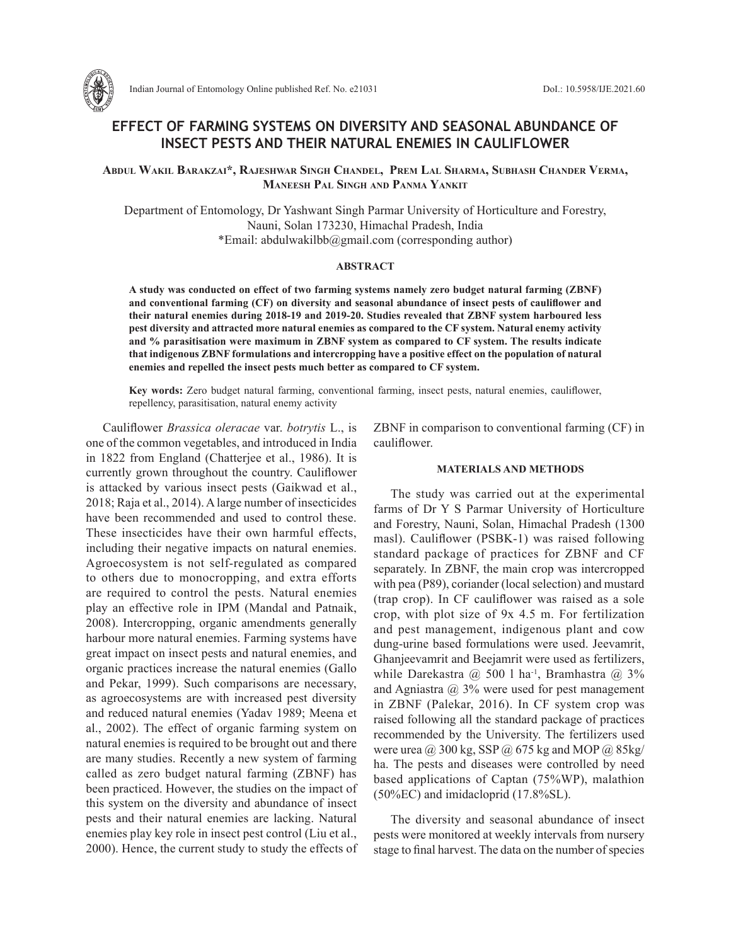

# **EFFECT OF FARMING SYSTEMS ON DIVERSITY AND SEASONAL ABUNDANCE OF INSECT PESTS AND THEIR NATURAL ENEMIES IN CAULIFLOWER**

**Abdul Wakil Barakzai\*, Rajeshwar Singh Chandel, Prem Lal Sharma, Subhash Chander Verma, Maneesh Pal Singh and Panma Yankit**

Department of Entomology, Dr Yashwant Singh Parmar University of Horticulture and Forestry, Nauni, Solan 173230, Himachal Pradesh, India \*Email: abdulwakilbb@gmail.com (corresponding author)

### **ABSTRACT**

**A study was conducted on effect of two farming systems namely zero budget natural farming (ZBNF) and conventional farming (CF) on diversity and seasonal abundance of insect pests of cauliflower and their natural enemies during 2018-19 and 2019-20. Studies revealed that ZBNF system harboured less pest diversity and attracted more natural enemies as compared to the CF system. Natural enemy activity and % parasitisation were maximum in ZBNF system as compared to CF system. The results indicate that indigenous ZBNF formulations and intercropping have a positive effect on the population of natural enemies and repelled the insect pests much better as compared to CF system.**

**Key words:** Zero budget natural farming, conventional farming, insect pests, natural enemies, cauliflower, repellency, parasitisation, natural enemy activity

Cauliflower *Brassica oleracae* var. *botrytis* L., is one of the common vegetables, and introduced in India in 1822 from England (Chatterjee et al., 1986). It is currently grown throughout the country. Cauliflower is attacked by various insect pests (Gaikwad et al., 2018; Raja et al., 2014). A large number of insecticides have been recommended and used to control these. These insecticides have their own harmful effects, including their negative impacts on natural enemies. Agroecosystem is not self-regulated as compared to others due to monocropping, and extra efforts are required to control the pests. Natural enemies play an effective role in IPM (Mandal and Patnaik, 2008). Intercropping, organic amendments generally harbour more natural enemies. Farming systems have great impact on insect pests and natural enemies, and organic practices increase the natural enemies (Gallo and Pekar, 1999). Such comparisons are necessary, as agroecosystems are with increased pest diversity and reduced natural enemies (Yadav 1989; Meena et al., 2002). The effect of organic farming system on natural enemies is required to be brought out and there are many studies. Recently a new system of farming called as zero budget natural farming (ZBNF) has been practiced. However, the studies on the impact of this system on the diversity and abundance of insect pests and their natural enemies are lacking. Natural enemies play key role in insect pest control (Liu et al., 2000). Hence, the current study to study the effects of ZBNF in comparison to conventional farming (CF) in cauliflower.

#### **MATERIALS AND METHODS**

The study was carried out at the experimental farms of Dr Y S Parmar University of Horticulture and Forestry, Nauni, Solan, Himachal Pradesh (1300 masl). Cauliflower (PSBK-1) was raised following standard package of practices for ZBNF and CF separately. In ZBNF, the main crop was intercropped with pea (P89), coriander (local selection) and mustard (trap crop). In CF cauliflower was raised as a sole crop, with plot size of 9x 4.5 m. For fertilization and pest management, indigenous plant and cow dung-urine based formulations were used. Jeevamrit, Ghanjeevamrit and Beejamrit were used as fertilizers, while Darekastra  $@$  500 l ha<sup>-1</sup>, Bramhastra  $@$  3% and Agniastra  $\omega$  3% were used for pest management in ZBNF (Palekar, 2016). In CF system crop was raised following all the standard package of practices recommended by the University. The fertilizers used were urea @ 300 kg, SSP @ 675 kg and MOP @ 85kg/ ha. The pests and diseases were controlled by need based applications of Captan (75%WP), malathion (50%EC) and imidacloprid (17.8%SL).

The diversity and seasonal abundance of insect pests were monitored at weekly intervals from nursery stage to final harvest. The data on the number of species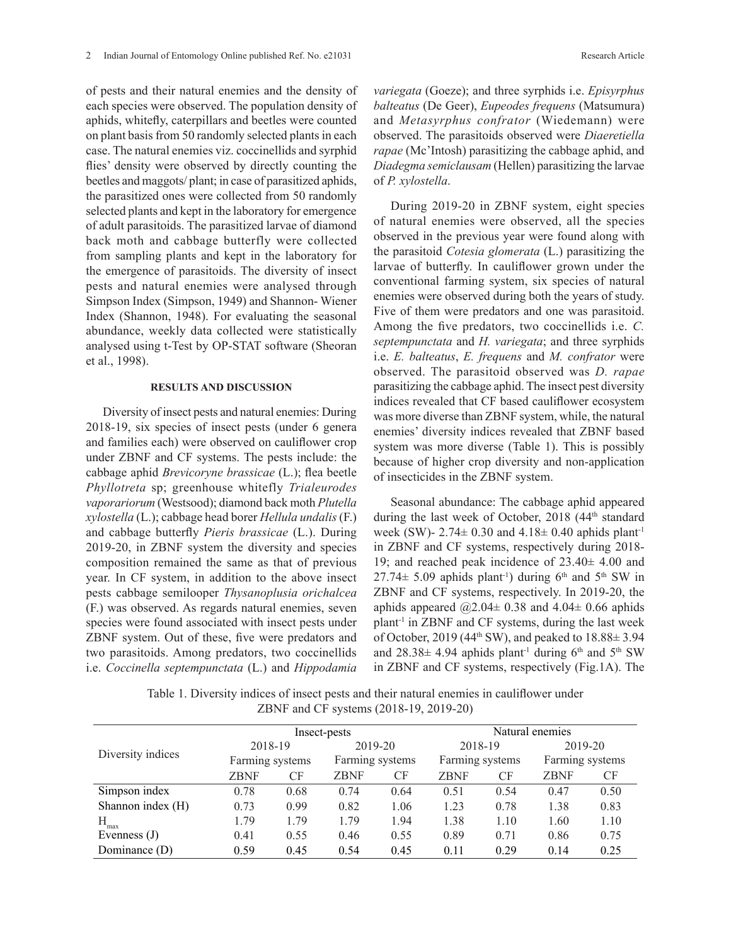of pests and their natural enemies and the density of each species were observed. The population density of aphids, whitefly, caterpillars and beetles were counted on plant basis from 50 randomly selected plants in each case. The natural enemies viz. coccinellids and syrphid flies' density were observed by directly counting the beetles and maggots/ plant; in case of parasitized aphids, the parasitized ones were collected from 50 randomly selected plants and kept in the laboratory for emergence of adult parasitoids. The parasitized larvae of diamond back moth and cabbage butterfly were collected from sampling plants and kept in the laboratory for the emergence of parasitoids. The diversity of insect pests and natural enemies were analysed through Simpson Index (Simpson, 1949) and Shannon- Wiener Index (Shannon, 1948). For evaluating the seasonal abundance, weekly data collected were statistically analysed using t-Test by OP-STAT software (Sheoran et al., 1998).

## **RESULTS AND DISCUSSION**

Diversity of insect pests and natural enemies: During 2018-19, six species of insect pests (under 6 genera and families each) were observed on cauliflower crop under ZBNF and CF systems. The pests include: the cabbage aphid *Brevicoryne brassicae* (L.); flea beetle *Phyllotreta* sp; greenhouse whitefly *Trialeurodes vaporariorum* (Westsood); diamond back moth *Plutella xylostella* (L.); cabbage head borer *Hellula undalis* (F.) and cabbage butterfly *Pieris brassicae* (L.). During 2019-20, in ZBNF system the diversity and species composition remained the same as that of previous year. In CF system, in addition to the above insect pests cabbage semilooper *Thysanoplusia orichalcea*  (F.) was observed. As regards natural enemies, seven species were found associated with insect pests under ZBNF system. Out of these, five were predators and two parasitoids. Among predators, two coccinellids i.e. *Coccinella septempunctata* (L.) and *Hippodamia* 

*variegata* (Goeze); and three syrphids i.e. *Episyrphus balteatus* (De Geer), *Eupeodes frequens* (Matsumura) and *Metasyrphus confrator* (Wiedemann) were observed. The parasitoids observed were *Diaeretiella rapae* (Mc'Intosh) parasitizing the cabbage aphid, and *Diadegma semiclausam* (Hellen) parasitizing the larvae of *P. xylostella*.

During 2019-20 in ZBNF system, eight species of natural enemies were observed, all the species observed in the previous year were found along with the parasitoid *Cotesia glomerata* (L.) parasitizing the larvae of butterfly. In cauliflower grown under the conventional farming system, six species of natural enemies were observed during both the years of study. Five of them were predators and one was parasitoid. Among the five predators, two coccinellids i.e. *C. septempunctata* and *H. variegata*; and three syrphids i.e. *E. balteatus*, *E. frequens* and *M. confrator* were observed. The parasitoid observed was *D. rapae* parasitizing the cabbage aphid. The insect pest diversity indices revealed that CF based cauliflower ecosystem was more diverse than ZBNF system, while, the natural enemies' diversity indices revealed that ZBNF based system was more diverse (Table 1). This is possibly because of higher crop diversity and non-application of insecticides in the ZBNF system.

Seasonal abundance: The cabbage aphid appeared during the last week of October, 2018 (44<sup>th</sup> standard week (SW)- 2.74 $\pm$  0.30 and 4.18 $\pm$  0.40 aphids plant<sup>-1</sup> in ZBNF and CF systems, respectively during 2018- 19; and reached peak incidence of 23.40± 4.00 and  $27.74\pm 5.09$  aphids plant<sup>-1</sup>) during 6<sup>th</sup> and 5<sup>th</sup> SW in ZBNF and CF systems, respectively. In 2019-20, the aphids appeared  $@2.04 \pm 0.38$  and  $4.04 \pm 0.66$  aphids plant<sup>-1</sup> in ZBNF and CF systems, during the last week of October, 2019 (44<sup>th</sup> SW), and peaked to  $18.88 \pm 3.94$ and  $28.38\pm 4.94$  aphids plant<sup>-1</sup> during 6<sup>th</sup> and 5<sup>th</sup> SW in ZBNF and CF systems, respectively (Fig.1A). The

Table 1. Diversity indices of insect pests and their natural enemies in cauliflower under ZBNF and CF systems (2018-19, 2019-20)

| Diversity indices | Insect-pests    |      |                 |      | Natural enemies |      |                 |      |
|-------------------|-----------------|------|-----------------|------|-----------------|------|-----------------|------|
|                   | 2018-19         |      | 2019-20         |      | 2018-19         |      | 2019-20         |      |
|                   | Farming systems |      | Farming systems |      | Farming systems |      | Farming systems |      |
|                   | <b>ZBNF</b>     | CF   | <b>ZBNF</b>     | CF   | <b>ZBNF</b>     | CF   | ZBNF            | CF   |
| Simpson index     | 0.78            | 0.68 | 0.74            | 0.64 | 0.51            | 0.54 | 0.47            | 0.50 |
| Shannon index (H) | 0.73            | 0.99 | 0.82            | 1.06 | 1.23            | 0.78 | 1.38            | 0.83 |
| H<br>max          | 1.79            | 1.79 | 1.79            | 1.94 | 1.38            | 1.10 | 1.60            | 1.10 |
| Evenness $(J)$    | 0.41            | 0.55 | 0.46            | 0.55 | 0.89            | 0.71 | 0.86            | 0.75 |
| Dominance (D)     | 0.59            | 0.45 | 0.54            | 0.45 | 0.11            | 0.29 | 0.14            | 0.25 |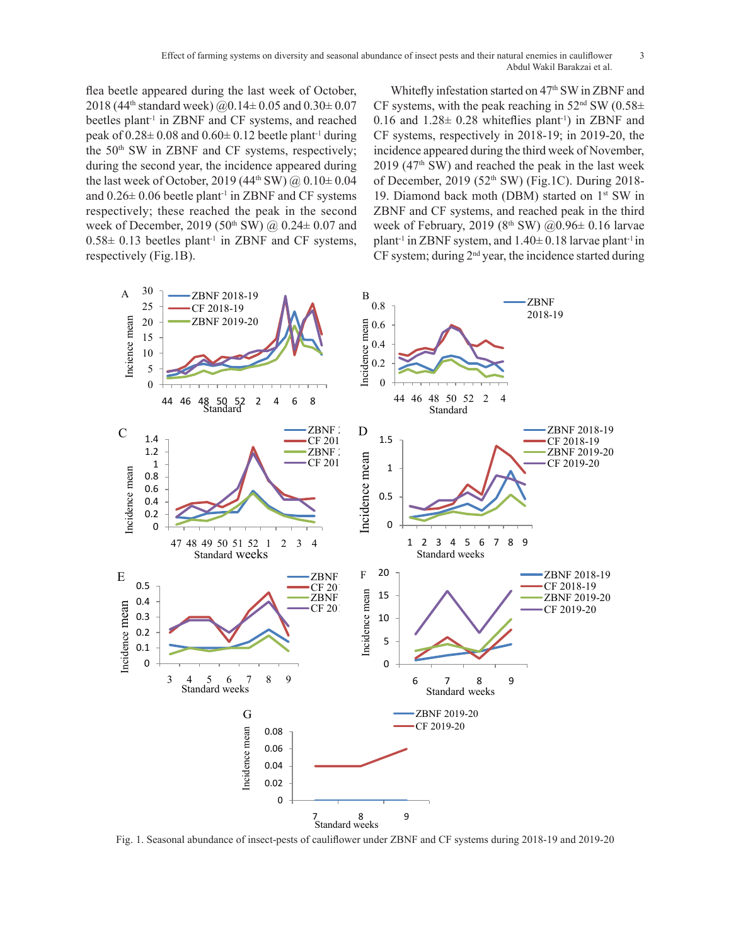flea beetle appeared during the last week of October, 2018 (44<sup>th</sup> standard week)  $(a)0.14 \pm 0.05$  and  $(0.30 \pm 0.07)$ beetles plant<sup>-1</sup> in ZBNF and CF systems, and reached peak of  $0.28 \pm 0.08$  and  $0.60 \pm 0.12$  beetle plant<sup>-1</sup> during the  $50<sup>th</sup>$  SW in ZBNF and CF systems, respectively; during the second year, the incidence appeared during the last week of October, 2019 (44<sup>th</sup> SW)  $\omega$  0.10  $\pm$  0.04 and  $0.26 \pm 0.06$  beetle plant<sup>-1</sup> in ZBNF and CF systems respectively; these reached the peak in the second week of December, 2019 (50<sup>th</sup> SW) @ 0.24± 0.07 and week of February, 2019 (8<sup>th</sup> SW) @0.96± 0  $0.58\pm 0.13$  beetles plant<sup>-1</sup> in ZBNF and CF systems, respectively (Fig.1B). CF system; during 0.13 beetles plant<sup>-1</sup> in 2  $20.13$  becaus plant in  $0.58 + 0.13$  beetles pla

Whitefly infestation started on 47<sup>th</sup> SW in ZBNF and CF systems, with the peak reaching in  $52<sup>nd</sup>$  SW (0.58 $\pm$ 0.16 and  $1.28 \pm 0.28$  whiteflies plant<sup>-1</sup>) in ZBNF and CF systems, respectively in 2018-19; in 2019-20, the incidence appeared during the third week of November,  $2019$  (47<sup>th</sup> SW) and reached the peak in the last week of December, 2019 (52th SW) (Fig.1C). During 2018- 19. Diamond back moth (DBM) started on 1<sup>st</sup> SW in ZBNF and CF systems, and reached peak in the third f December, 2019 (50<sup>th</sup> SW) @ 0.24 ± 0.07 and week of February, 2019 (8<sup>th</sup> SW) @ 0.96 ± 0.16 larvae 0.13 beetles plant<sup>-1</sup> in ZBNF and CF systems, plant<sup>-1</sup> in ZBNF system, and  $1.40 \pm 0.18$  larvae plant<sup>-1</sup> in  $\overline{B}$ CF system; during 2nd year, the incidence started during  $1<sup>1</sup>$ 



Effect of farming systems on diversity and seasonal abundance of insect pests and their natural enemies in cauliflower 3 Abdul Wakil Barakzai et al.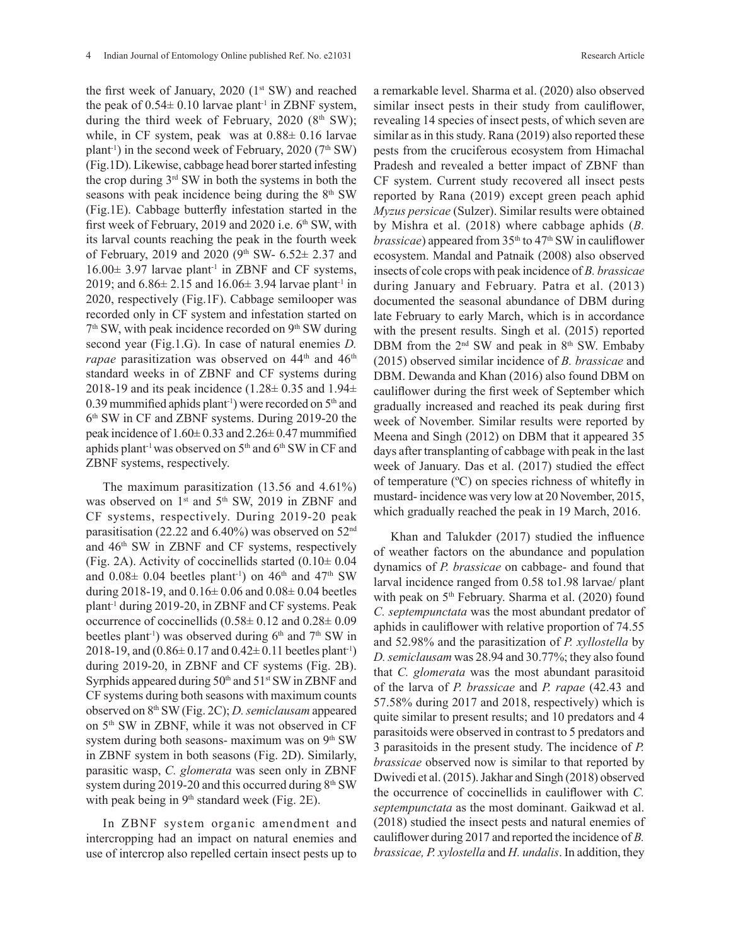the first week of January,  $2020$  ( $1<sup>st</sup>$  SW) and reached the peak of  $0.54 \pm 0.10$  larvae plant<sup>-1</sup> in ZBNF system, during the third week of February,  $2020$  (8<sup>th</sup> SW); while, in CF system, peak was at  $0.88\pm 0.16$  larvae plant<sup>-1</sup>) in the second week of February, 2020 ( $7<sup>th</sup>$  SW) (Fig.1D). Likewise, cabbage head borer started infesting the crop during 3rd SW in both the systems in both the seasons with peak incidence being during the  $8<sup>th</sup>$  SW (Fig.1E). Cabbage butterfly infestation started in the first week of February, 2019 and 2020 i.e.  $6<sup>th</sup>$  SW, with its larval counts reaching the peak in the fourth week of February, 2019 and 2020 (9th SW-  $6.52 \pm 2.37$  and  $16.00 \pm 3.97$  larvae plant<sup>-1</sup> in ZBNF and CF systems, 2019; and  $6.86 \pm 2.15$  and  $16.06 \pm 3.94$  larvae plant<sup>-1</sup> in 2020, respectively (Fig.1F). Cabbage semilooper was recorded only in CF system and infestation started on  $7<sup>th</sup>$  SW, with peak incidence recorded on  $9<sup>th</sup>$  SW during second year (Fig.1.G). In case of natural enemies *D. rapae* parasitization was observed on 44<sup>th</sup> and 46<sup>th</sup> standard weeks in of ZBNF and CF systems during 2018-19 and its peak incidence (1.28 $\pm$  0.35 and 1.94 $\pm$ 0.39 mummified aphids plant<sup>-1</sup>) were recorded on  $5<sup>th</sup>$  and 6<sup>th</sup> SW in CF and ZBNF systems. During 2019-20 the peak incidence of  $1.60 \pm 0.33$  and  $2.26 \pm 0.47$  mummified aphids plant<sup>-1</sup> was observed on  $5<sup>th</sup>$  and  $6<sup>th</sup>$  SW in CF and ZBNF systems, respectively.

The maximum parasitization (13.56 and 4.61%) was observed on  $1<sup>st</sup>$  and  $5<sup>th</sup>$  SW, 2019 in ZBNF and CF systems, respectively. During 2019-20 peak parasitisation (22.22 and 6.40%) was observed on 52nd and 46th SW in ZBNF and CF systems, respectively (Fig. 2A). Activity of coccinellids started  $(0.10 \pm 0.04)$ and  $0.08\pm 0.04$  beetles plant<sup>-1</sup>) on 46<sup>th</sup> and 47<sup>th</sup> SW during 2018-19, and  $0.16 \pm 0.06$  and  $0.08 \pm 0.04$  beetles plant-1 during 2019-20, in ZBNF and CF systems. Peak occurrence of coccinellids  $(0.58 \pm 0.12 \text{ and } 0.28 \pm 0.09$ beetles plant<sup>-1</sup>) was observed during  $6<sup>th</sup>$  and  $7<sup>th</sup>$  SW in 2018-19, and  $(0.86 \pm 0.17$  and  $(0.42 \pm 0.11)$  beetles plant<sup>-1</sup>) during 2019-20, in ZBNF and CF systems (Fig. 2B). Syrphids appeared during  $50<sup>th</sup>$  and  $51<sup>st</sup>$  SW in ZBNF and CF systems during both seasons with maximum counts observed on 8th SW (Fig. 2C); *D. semiclausam* appeared on 5<sup>th</sup> SW in ZBNF, while it was not observed in CF system during both seasons- maximum was on 9th SW in ZBNF system in both seasons (Fig. 2D). Similarly, parasitic wasp, *C. glomerata* was seen only in ZBNF system during 2019-20 and this occurred during  $8<sup>th</sup>$  SW with peak being in  $9<sup>th</sup>$  standard week (Fig. 2E).

In ZBNF system organic amendment and intercropping had an impact on natural enemies and use of intercrop also repelled certain insect pests up to a remarkable level. Sharma et al. (2020) also observed similar insect pests in their study from cauliflower, revealing 14 species of insect pests, of which seven are similar as in this study. Rana (2019) also reported these pests from the cruciferous ecosystem from Himachal Pradesh and revealed a better impact of ZBNF than CF system. Current study recovered all insect pests reported by Rana (2019) except green peach aphid *Myzus persicae* (Sulzer). Similar results were obtained by Mishra et al. (2018) where cabbage aphids (*B. brassicae*) appeared from  $35<sup>th</sup>$  to  $47<sup>th</sup>$  SW in cauliflower ecosystem. Mandal and Patnaik (2008) also observed insects of cole crops with peak incidence of *B. brassicae* during January and February. Patra et al. (2013) documented the seasonal abundance of DBM during late February to early March, which is in accordance with the present results. Singh et al. (2015) reported DBM from the  $2<sup>nd</sup>$  SW and peak in  $8<sup>th</sup>$  SW. Embaby (2015) observed similar incidence of *B. brassicae* and DBM. Dewanda and Khan (2016) also found DBM on cauliflower during the first week of September which gradually increased and reached its peak during first week of November. Similar results were reported by Meena and Singh (2012) on DBM that it appeared 35 days after transplanting of cabbage with peak in the last week of January. Das et al. (2017) studied the effect of temperature (ºC) on species richness of whitefly in mustard- incidence was very low at 20 November, 2015, which gradually reached the peak in 19 March, 2016.

Khan and Talukder (2017) studied the influence of weather factors on the abundance and population dynamics of *P. brassicae* on cabbage- and found that larval incidence ranged from 0.58 to1.98 larvae/ plant with peak on 5<sup>th</sup> February. Sharma et al. (2020) found *C. septempunctata* was the most abundant predator of aphids in cauliflower with relative proportion of 74.55 and 52.98% and the parasitization of *P. xyllostella* by *D. semiclausam* was 28.94 and 30.77%; they also found that *C. glomerata* was the most abundant parasitoid of the larva of *P. brassicae* and *P. rapae* (42.43 and 57.58% during 2017 and 2018, respectively) which is quite similar to present results; and 10 predators and 4 parasitoids were observed in contrast to 5 predators and 3 parasitoids in the present study. The incidence of *P. brassicae* observed now is similar to that reported by Dwivedi et al. (2015). Jakhar and Singh (2018) observed the occurrence of coccinellids in cauliflower with *C. septempunctata* as the most dominant. Gaikwad et al. (2018) studied the insect pests and natural enemies of cauliflower during 2017 and reported the incidence of *B. brassicae, P. xylostella* and *H. undalis*. In addition, they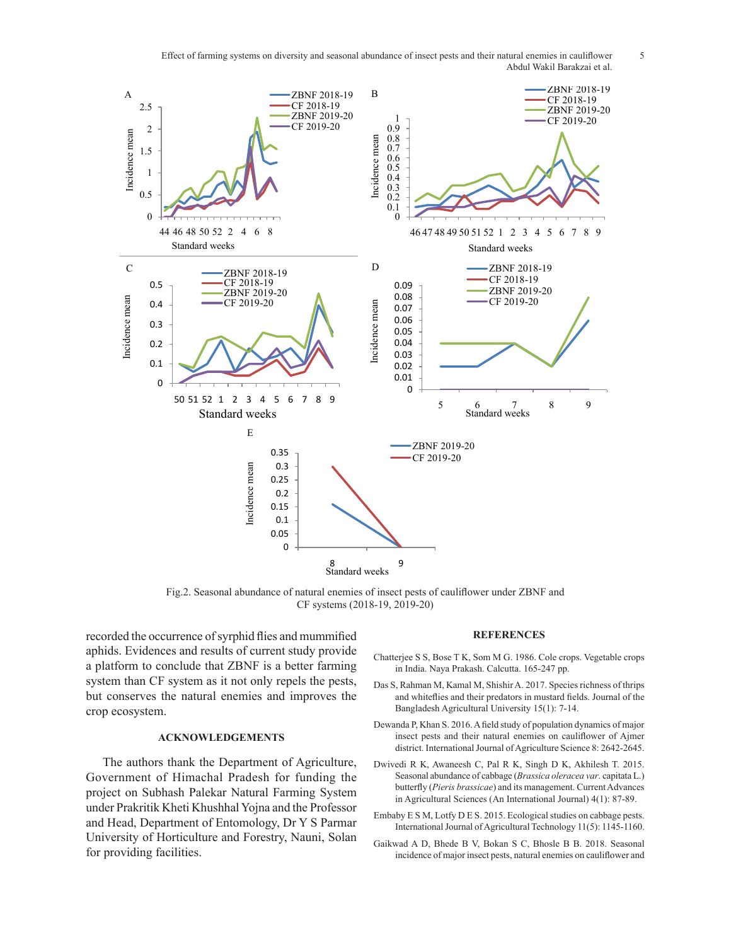Effect of farming systems on diversity and seasonal abundance of insect pests and their natural enemies in cauliflower 5 Abdul Wakil Barakzai et al.



Fig.2. Seasonal abundance of natural enemies of insect pests of cauliflower under ZBNF and CF systems (2018-19, 2019-20)

recorded the occurrence of syrphid flies and mummified aphids. Evidences and results of current study provide a platform to conclude that ZBNF is a better farming system than CF system as it not only repels the pests, but conserves the natural enemies and improves the crop ecosystem.

# **ACKNOWLEDGEMENTS**

The authors thank the Department of Agriculture, Government of Himachal Pradesh for funding the project on Subhash Palekar Natural Farming System under Prakritik Kheti Khushhal Yojna and the Professor and Head, Department of Entomology, Dr Y S Parmar University of Horticulture and Forestry, Nauni, Solan for providing facilities.

#### **REFERENCES**

- Chatterjee S S, Bose T K, Som M G. 1986. Cole crops. Vegetable crops in India. Naya Prakash. Calcutta. 165-247 pp.
- and whiteflies and their predators in mustard fields. Journal of the 2 Bangladesh Agricultural University 15(1): 7-14. Das S, Rahman M, Kamal M, Shishir A. 2017. Species richness of thrips
- Dewanda P, Khan S. 2016. A field study of population dynamics of major insect pests and their natural enemies on cauliflower of Ajmer district. International Journal of Agriculture Science 8: 2642-2645.
- Dwivedi R K, Awaneesh C, Pal R K, Singh D K, Akhilesh T. 2015. Seasonal abundance of cabbage (*Brassica oleracea var*. capitata L.) butterfly (*Pieris brassicae*) and its management. Current Advances in Agricultural Sciences (An International Journal) 4(1): 87-89.
- Embaby E S M, Lotfy D E S. 2015. Ecological studies on cabbage pests. International Journal of Agricultural Technology 11(5): 1145-1160.
- Gaikwad A D, Bhede B V, Bokan S C, Bhosle B B. 2018. Seasonal incidence of major insect pests, natural enemies on cauliflower and